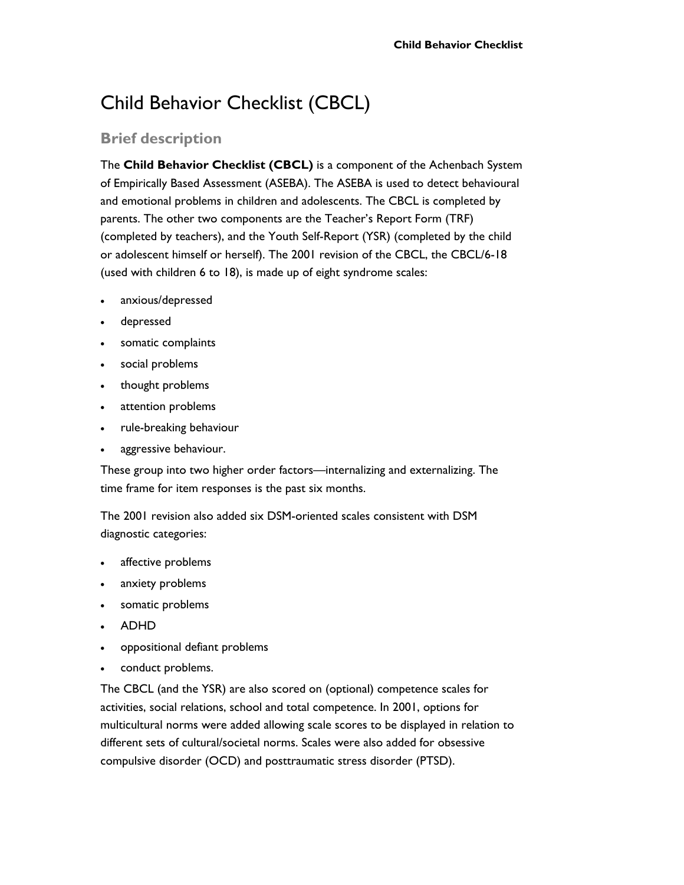# Child Behavior Checklist (CBCL)

## **Brief description**

The **Child Behavior Checklist (CBCL)** is a component of the Achenbach System of Empirically Based Assessment (ASEBA). The ASEBA is used to detect behavioural and emotional problems in children and adolescents. The CBCL is completed by parents. The other two components are the Teacher's Report Form (TRF) (completed by teachers), and the Youth Self-Report (YSR) (completed by the child or adolescent himself or herself). The 2001 revision of the CBCL, the CBCL/6-18 (used with children 6 to 18), is made up of eight syndrome scales:

- anxious/depressed
- depressed
- somatic complaints
- social problems
- thought problems
- attention problems
- rule-breaking behaviour
- aggressive behaviour.

These group into two higher order factors—internalizing and externalizing. The time frame for item responses is the past six months.

The 2001 revision also added six DSM-oriented scales consistent with DSM diagnostic categories:

- affective problems
- anxiety problems
- somatic problems
- ADHD
- oppositional defiant problems
- conduct problems.

The CBCL (and the YSR) are also scored on (optional) competence scales for activities, social relations, school and total competence. In 2001, options for multicultural norms were added allowing scale scores to be displayed in relation to different sets of cultural/societal norms. Scales were also added for obsessive compulsive disorder (OCD) and posttraumatic stress disorder (PTSD).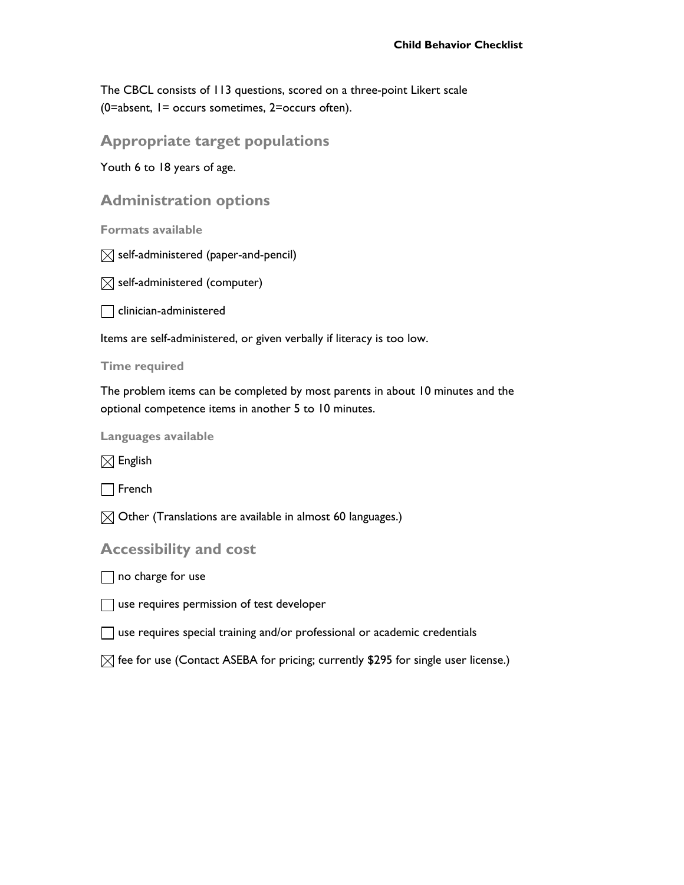The CBCL consists of 113 questions, scored on a three-point Likert scale (0=absent, 1= occurs sometimes, 2=occurs often).

**Appropriate target populations** 

Youth 6 to 18 years of age.

**Administration options** 

**Formats available** 

 $\boxtimes$  self-administered (paper-and-pencil)

 $\boxtimes$  self-administered (computer)

 $\Box$  clinician-administered

Items are self-administered, or given verbally if literacy is too low.

#### **Time required**

The problem items can be completed by most parents in about 10 minutes and the optional competence items in another 5 to 10 minutes.

**Languages available** 

 $\boxtimes$  English

 $\Box$  French

 $\boxtimes$  Other (Translations are available in almost 60 languages.)

**Accessibility and cost** 

 $\Box$  no charge for use

 $\Box$  use requires permission of test developer

use requires special training and/or professional or academic credentials

 $\boxtimes$  fee for use (Contact ASEBA for pricing; currently \$295 for single user license.)